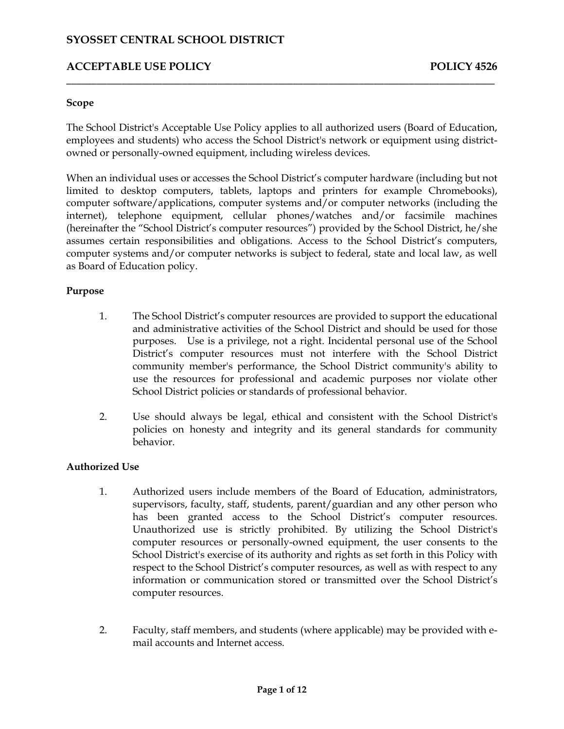## **ACCEPTABLE USE POLICY POLICY POLICY POLICY POLICY**

#### **Scope**

 The School District's Acceptable Use Policy applies to all authorized users (Board of Education, employees and students) who access the School District's network or equipment using districtowned or personally-owned equipment, including wireless devices.

\_\_\_\_\_\_\_\_\_\_\_\_\_\_\_\_\_\_\_\_\_\_\_\_\_\_\_\_\_\_\_\_\_\_\_\_\_\_\_\_\_\_\_\_\_\_\_\_\_\_\_\_\_\_\_\_\_\_\_\_\_\_\_\_\_\_\_\_\_\_\_\_\_\_\_\_\_\_\_\_\_\_\_\_\_

 computer software/applications, computer systems and/or computer networks (including the (hereinafter the "School District's computer resources") provided by the School District, he/she computer systems and/or computer networks is subject to federal, state and local law, as well When an individual uses or accesses the School District's computer hardware (including but not limited to desktop computers, tablets, laptops and printers for example Chromebooks), internet), telephone equipment, cellular phones/watches and/or facsimile machines assumes certain responsibilities and obligations. Access to the School District's computers, as Board of Education policy.

### **Purpose**

- and administrative activities of the School District and should be used for those purposes. Use is a privilege, not a right. Incidental personal use of the School use the resources for professional and academic purposes nor violate other 1. The School District's computer resources are provided to support the educational District's computer resources must not interfere with the School District community member's performance, the School District community's ability to School District policies or standards of professional behavior.
- 2. Use should always be legal, ethical and consistent with the School District's policies on honesty and integrity and its general standards for community behavior.

### **Authorized Use**

- has been granted access to the School District's computer resources. respect to the School District's computer resources, as well as with respect to any information or communication stored or transmitted over the School District's 1. Authorized users include members of the Board of Education, administrators, supervisors, faculty, staff, students, parent/guardian and any other person who Unauthorized use is strictly prohibited. By utilizing the School District's computer resources or personally-owned equipment, the user consents to the School District's exercise of its authority and rights as set forth in this Policy with computer resources.
- 2. Faculty, staff members, and students (where applicable) may be provided with email accounts and Internet access.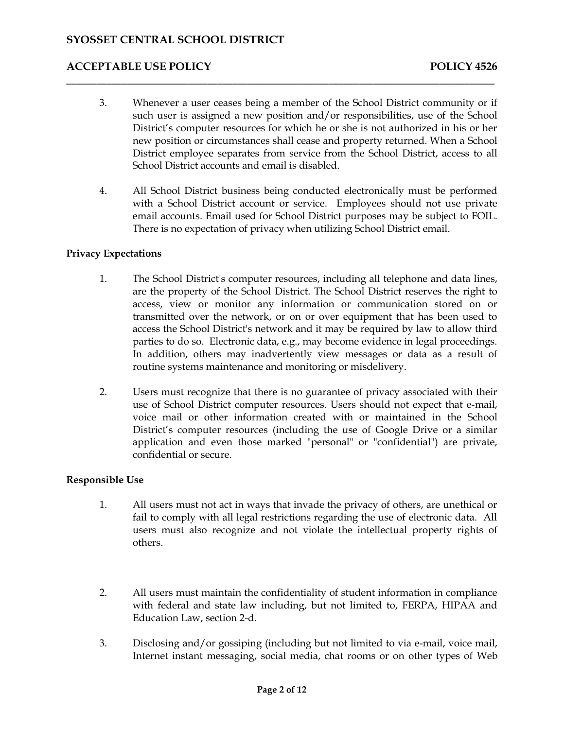3. Whenever a user ceases being a member of the School District community or if such user is assigned a new position and/or responsibilities, use of the School District's computer resources for which he or she is not authorized in his or her new position or circumstances shall cease and property returned. When a School District employee separates from service from the School District, access to all School District accounts and email is disabled.

\_\_\_\_\_\_\_\_\_\_\_\_\_\_\_\_\_\_\_\_\_\_\_\_\_\_\_\_\_\_\_\_\_\_\_\_\_\_\_\_\_\_\_\_\_\_\_\_\_\_\_\_\_\_\_\_\_\_\_\_\_\_\_\_\_\_\_\_\_\_\_\_\_\_\_\_\_\_\_\_\_\_\_\_\_

 email accounts. Email used for School District purposes may be subject to FOIL. 4. All School District business being conducted electronically must be performed with a School District account or service. Employees should not use private There is no expectation of privacy when utilizing School District email.

### **Privacy Expectations**

- 1. The School District's computer resources, including all telephone and data lines, access, view or monitor any information or communication stored on or transmitted over the network, or on or over equipment that has been used to access the School District's network and it may be required by law to allow third parties to do so. Electronic data, e.g., may become evidence in legal proceedings. In addition, others may inadvertently view messages or data as a result of are the property of the School District. The School District reserves the right to routine systems maintenance and monitoring or misdelivery.
- 2. Users must recognize that there is no guarantee of privacy associated with their voice mail or other information created with or maintained in the School District's computer resources (including the use of Google Drive or a similar application and even those marked "personal" or "confidential") are private, use of School District computer resources. Users should not expect that e-mail, confidential or secure.

### **Responsible Use**

- 1. All users must not act in ways that invade the privacy of others, are unethical or fail to comply with all legal restrictions regarding the use of electronic data. All users must also recognize and not violate the intellectual property rights of others.
- 2. All users must maintain the confidentiality of student information in compliance with federal and state law including, but not limited to, FERPA, HIPAA and Education Law, section 2-d.
- Internet instant messaging, social media, chat rooms or on other types of Web 3. Disclosing and/or gossiping (including but not limited to via e-mail, voice mail,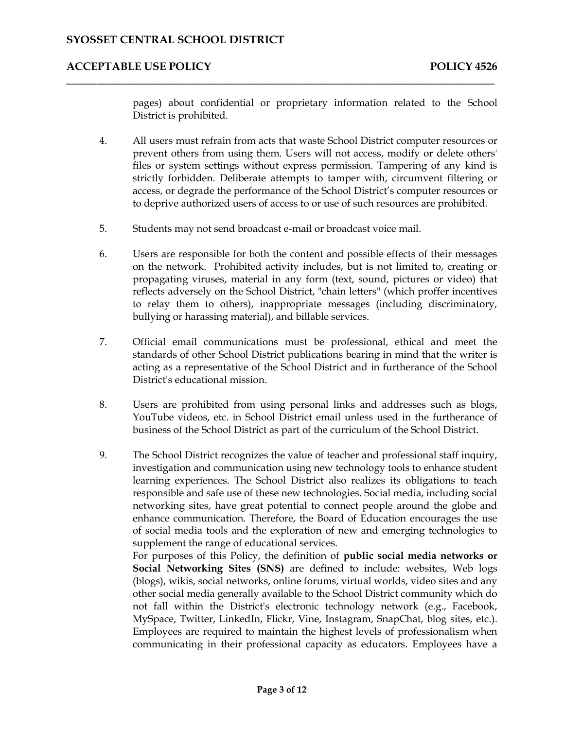pages) about confidential or proprietary information related to the School District is prohibited.

 4. All users must refrain from acts that waste School District computer resources or prevent others from using them. Users will not access, modify or delete others' files or system settings without express permission. Tampering of any kind is to deprive authorized users of access to or use of such resources are prohibited. strictly forbidden. Deliberate attempts to tamper with, circumvent filtering or access, or degrade the performance of the School District's computer resources or

\_\_\_\_\_\_\_\_\_\_\_\_\_\_\_\_\_\_\_\_\_\_\_\_\_\_\_\_\_\_\_\_\_\_\_\_\_\_\_\_\_\_\_\_\_\_\_\_\_\_\_\_\_\_\_\_\_\_\_\_\_\_\_\_\_\_\_\_\_\_\_\_\_\_\_\_\_\_\_\_\_\_\_\_\_

- 5. Students may not send broadcast e-mail or broadcast voice mail.
- 6. Users are responsible for both the content and possible effects of their messages propagating viruses, material in any form (text, sound, pictures or video) that reflects adversely on the School District, "chain letters" (which proffer incentives on the network. Prohibited activity includes, but is not limited to, creating or to relay them to others), inappropriate messages (including discriminatory, bullying or harassing material), and billable services.
- 7. Official email communications must be professional, ethical and meet the standards of other School District publications bearing in mind that the writer is acting as a representative of the School District and in furtherance of the School District's educational mission.
- 8. Users are prohibited from using personal links and addresses such as blogs, YouTube videos, etc. in School District email unless used in the furtherance of business of the School District as part of the curriculum of the School District.
- 9. The School District recognizes the value of teacher and professional staff inquiry, enhance communication. Therefore, the Board of Education encourages the use of social media tools and the exploration of new and emerging technologies to investigation and communication using new technology tools to enhance student learning experiences. The School District also realizes its obligations to teach responsible and safe use of these new technologies. Social media, including social networking sites, have great potential to connect people around the globe and supplement the range of educational services.

 other social media generally available to the School District community which do not fall within the District's electronic technology network (e.g., Facebook, Employees are required to maintain the highest levels of professionalism when communicating in their professional capacity as educators. Employees have a For purposes of this Policy, the definition of **public social media networks or Social Networking Sites (SNS)** are defined to include: websites, Web logs (blogs), wikis, social networks, online forums, virtual worlds, video sites and any MySpace, Twitter, LinkedIn, Flickr, Vine, Instagram, SnapChat, blog sites, etc.).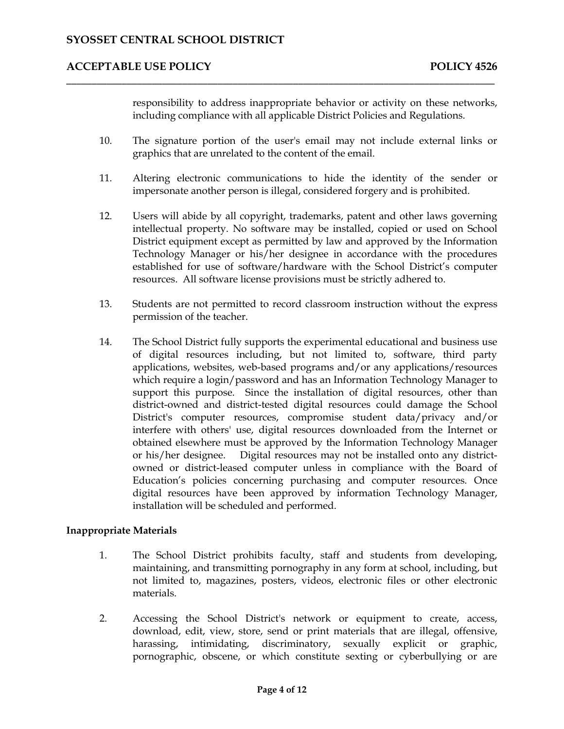responsibility to address inappropriate behavior or activity on these networks, including compliance with all applicable District Policies and Regulations.

10. The signature portion of the user's email may not include external links or graphics that are unrelated to the content of the email.

\_\_\_\_\_\_\_\_\_\_\_\_\_\_\_\_\_\_\_\_\_\_\_\_\_\_\_\_\_\_\_\_\_\_\_\_\_\_\_\_\_\_\_\_\_\_\_\_\_\_\_\_\_\_\_\_\_\_\_\_\_\_\_\_\_\_\_\_\_\_\_\_\_\_\_\_\_\_\_\_\_\_\_\_\_

- 11. Altering electronic communications to hide the identity of the sender or impersonate another person is illegal, considered forgery and is prohibited.
- intellectual property. No software may be installed, copied or used on School Technology Manager or his/her designee in accordance with the procedures established for use of software/hardware with the School District's computer 12. Users will abide by all copyright, trademarks, patent and other laws governing District equipment except as permitted by law and approved by the Information resources. All software license provisions must be strictly adhered to.
- 13. Students are not permitted to record classroom instruction without the express permission of the teacher.
- of digital resources including, but not limited to, software, third party support this purpose. Since the installation of digital resources, other than interfere with others' use, digital resources downloaded from the Internet or or his/her designee. Digital resources may not be installed onto any district- owned or district-leased computer unless in compliance with the Board of 14. The School District fully supports the experimental educational and business use applications, websites, web-based programs and/or any applications/resources which require a login/password and has an Information Technology Manager to district-owned and district-tested digital resources could damage the School District's computer resources, compromise student data/privacy and/or obtained elsewhere must be approved by the Information Technology Manager Education's policies concerning purchasing and computer resources. Once digital resources have been approved by information Technology Manager, installation will be scheduled and performed.

### **Inappropriate Materials**

- 1. The School District prohibits faculty, staff and students from developing, maintaining, and transmitting pornography in any form at school, including, but not limited to, magazines, posters, videos, electronic files or other electronic materials.
- harassing, intimidating, discriminatory, sexually explicit or graphic, pornographic, obscene, or which constitute sexting or cyberbullying or are 2. Accessing the School District's network or equipment to create, access, download, edit, view, store, send or print materials that are illegal, offensive,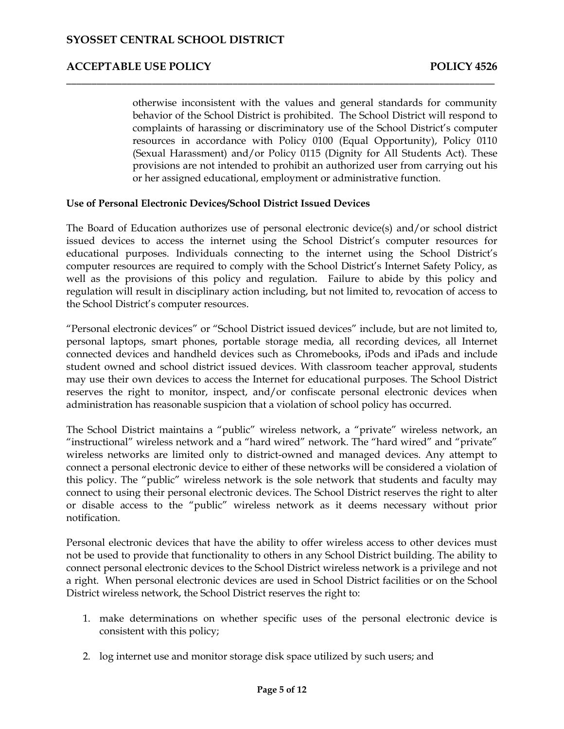behavior of the School District is prohibited. The School District will respond to complaints of harassing or discriminatory use of the School District's computer (Sexual Harassment) and/or Policy 0115 (Dignity for All Students Act). These provisions are not intended to prohibit an authorized user from carrying out his otherwise inconsistent with the values and general standards for community resources in accordance with Policy 0100 (Equal Opportunity), Policy 0110 or her assigned educational, employment or administrative function.

### **Use of Personal Electronic Devices/School District Issued Devices**

 The Board of Education authorizes use of personal electronic device(s) and/or school district well as the provisions of this policy and regulation. Failure to abide by this policy and regulation will result in disciplinary action including, but not limited to, revocation of access to issued devices to access the internet using the School District's computer resources for educational purposes. Individuals connecting to the internet using the School District's computer resources are required to comply with the School District's Internet Safety Policy, as the School District's computer resources.

\_\_\_\_\_\_\_\_\_\_\_\_\_\_\_\_\_\_\_\_\_\_\_\_\_\_\_\_\_\_\_\_\_\_\_\_\_\_\_\_\_\_\_\_\_\_\_\_\_\_\_\_\_\_\_\_\_\_\_\_\_\_\_\_\_\_\_\_\_\_\_\_\_\_\_\_\_\_\_\_\_\_\_\_\_

 personal laptops, smart phones, portable storage media, all recording devices, all Internet "Personal electronic devices" or "School District issued devices" include, but are not limited to, connected devices and handheld devices such as Chromebooks, iPods and iPads and include student owned and school district issued devices. With classroom teacher approval, students may use their own devices to access the Internet for educational purposes. The School District reserves the right to monitor, inspect, and/or confiscate personal electronic devices when administration has reasonable suspicion that a violation of school policy has occurred.

 wireless networks are limited only to district-owned and managed devices. Any attempt to connect a personal electronic device to either of these networks will be considered a violation of The School District maintains a "public" wireless network, a "private" wireless network, an "instructional" wireless network and a "hard wired" network. The "hard wired" and "private" this policy. The "public" wireless network is the sole network that students and faculty may connect to using their personal electronic devices. The School District reserves the right to alter or disable access to the "public" wireless network as it deems necessary without prior notification.

 Personal electronic devices that have the ability to offer wireless access to other devices must not be used to provide that functionality to others in any School District building. The ability to connect personal electronic devices to the School District wireless network is a privilege and not a right. When personal electronic devices are used in School District facilities or on the School District wireless network, the School District reserves the right to:

- 1. make determinations on whether specific uses of the personal electronic device is consistent with this policy;
- 2. log internet use and monitor storage disk space utilized by such users; and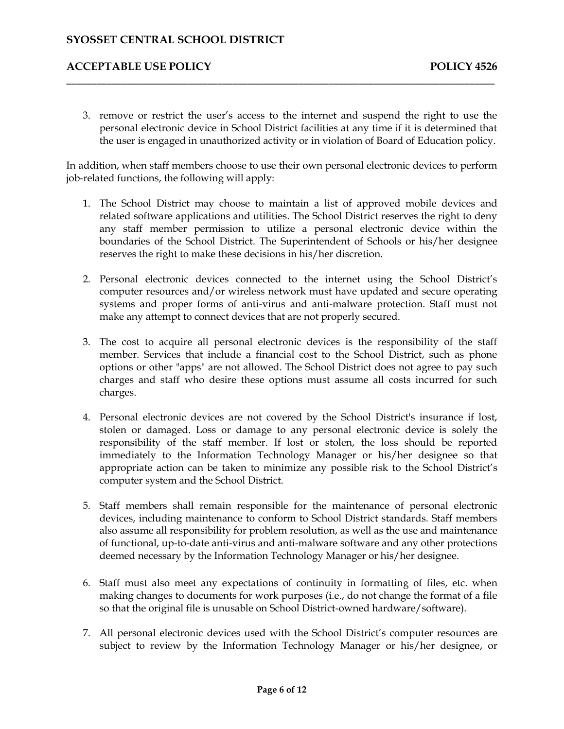## **ACCEPTABLE USE POLICY POLICY POLICY POLICY POLICY**

 personal electronic device in School District facilities at any time if it is determined that the user is engaged in unauthorized activity or in violation of Board of Education policy. 3. remove or restrict the user's access to the internet and suspend the right to use the

 In addition, when staff members choose to use their own personal electronic devices to perform job-related functions, the following will apply:

\_\_\_\_\_\_\_\_\_\_\_\_\_\_\_\_\_\_\_\_\_\_\_\_\_\_\_\_\_\_\_\_\_\_\_\_\_\_\_\_\_\_\_\_\_\_\_\_\_\_\_\_\_\_\_\_\_\_\_\_\_\_\_\_\_\_\_\_\_\_\_\_\_\_\_\_\_\_\_\_\_\_\_\_\_

- any staff member permission to utilize a personal electronic device within the boundaries of the School District. The Superintendent of Schools or his/her designee 1. The School District may choose to maintain a list of approved mobile devices and related software applications and utilities. The School District reserves the right to deny reserves the right to make these decisions in his/her discretion.
- 2. Personal electronic devices connected to the internet using the School District's computer resources and/or wireless network must have updated and secure operating systems and proper forms of anti-virus and anti-malware protection. Staff must not make any attempt to connect devices that are not properly secured.
- 3. The cost to acquire all personal electronic devices is the responsibility of the staff member. Services that include a financial cost to the School District, such as phone charges and staff who desire these options must assume all costs incurred for such options or other "apps" are not allowed. The School District does not agree to pay such charges.
- 4. Personal electronic devices are not covered by the School District's insurance if lost, stolen or damaged. Loss or damage to any personal electronic device is solely the responsibility of the staff member. If lost or stolen, the loss should be reported immediately to the Information Technology Manager or his/her designee so that appropriate action can be taken to minimize any possible risk to the School District's computer system and the School District.
- 5. Staff members shall remain responsible for the maintenance of personal electronic devices, including maintenance to conform to School District standards. Staff members also assume all responsibility for problem resolution, as well as the use and maintenance of functional, up-to-date anti-virus and anti-malware software and any other protections deemed necessary by the Information Technology Manager or his/her designee.
- 6. Staff must also meet any expectations of continuity in formatting of files, etc. when making changes to documents for work purposes (i.e., do not change the format of a file so that the original file is unusable on School District-owned hardware/software).
- 7. All personal electronic devices used with the School District's computer resources are subject to review by the Information Technology Manager or his/her designee, or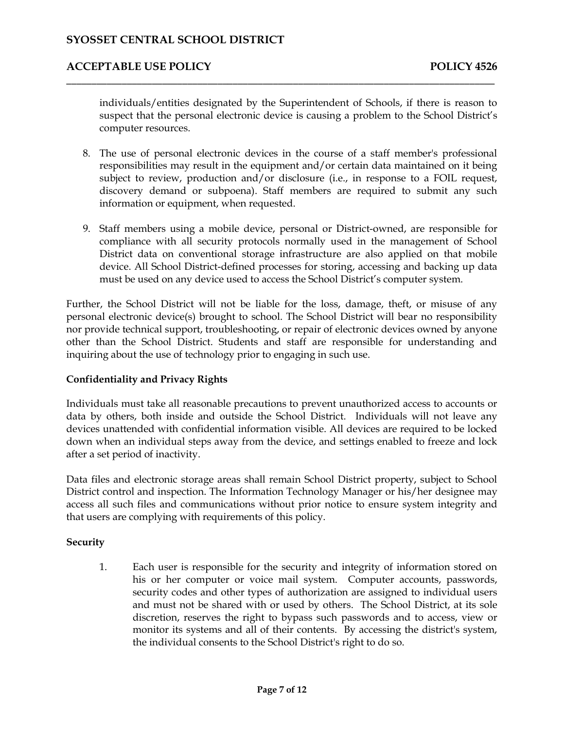## **ACCEPTABLE USE POLICY POLICY POLICY POLICY POLICY**

 individuals/entities designated by the Superintendent of Schools, if there is reason to suspect that the personal electronic device is causing a problem to the School District's computer resources.

\_\_\_\_\_\_\_\_\_\_\_\_\_\_\_\_\_\_\_\_\_\_\_\_\_\_\_\_\_\_\_\_\_\_\_\_\_\_\_\_\_\_\_\_\_\_\_\_\_\_\_\_\_\_\_\_\_\_\_\_\_\_\_\_\_\_\_\_\_\_\_\_\_\_\_\_\_\_\_\_\_\_\_\_\_

- 8. The use of personal electronic devices in the course of a staff member's professional responsibilities may result in the equipment and/or certain data maintained on it being subject to review, production and/or disclosure (i.e., in response to a FOIL request, discovery demand or subpoena). Staff members are required to submit any such information or equipment, when requested.
- 9. Staff members using a mobile device, personal or District-owned, are responsible for compliance with all security protocols normally used in the management of School District data on conventional storage infrastructure are also applied on that mobile device. All School District-defined processes for storing, accessing and backing up data must be used on any device used to access the School District's computer system.

 personal electronic device(s) brought to school. The School District will bear no responsibility nor provide technical support, troubleshooting, or repair of electronic devices owned by anyone Further, the School District will not be liable for the loss, damage, theft, or misuse of any other than the School District. Students and staff are responsible for understanding and inquiring about the use of technology prior to engaging in such use.

### **Confidentiality and Privacy Rights**

 Individuals must take all reasonable precautions to prevent unauthorized access to accounts or data by others, both inside and outside the School District. Individuals will not leave any devices unattended with confidential information visible. All devices are required to be locked down when an individual steps away from the device, and settings enabled to freeze and lock after a set period of inactivity.

 Data files and electronic storage areas shall remain School District property, subject to School District control and inspection. The Information Technology Manager or his/her designee may access all such files and communications without prior notice to ensure system integrity and that users are complying with requirements of this policy.

### **Security**

 1. Each user is responsible for the security and integrity of information stored on his or her computer or voice mail system. Computer accounts, passwords, and must not be shared with or used by others. The School District, at its sole discretion, reserves the right to bypass such passwords and to access, view or monitor its systems and all of their contents. By accessing the district's system, security codes and other types of authorization are assigned to individual users the individual consents to the School District's right to do so.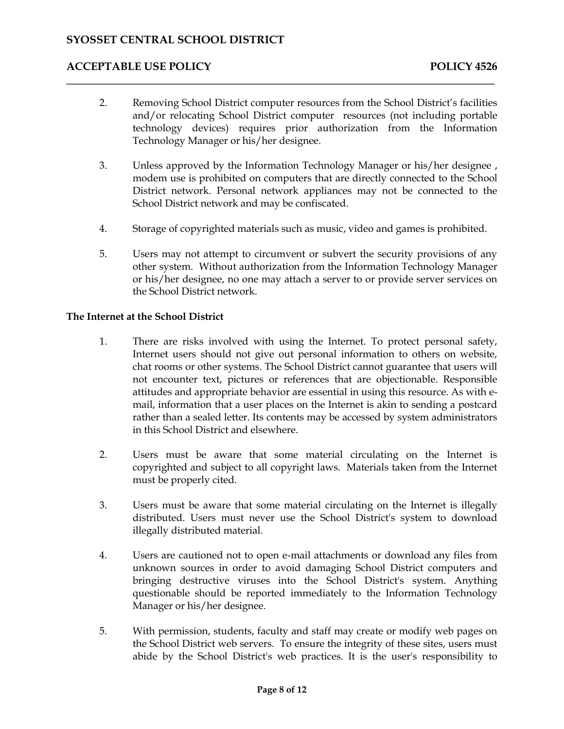2. Removing School District computer resources from the School District's facilities and/or relocating School District computer resources (not including portable technology devices) requires prior authorization from the Information Technology Manager or his/her designee.

\_\_\_\_\_\_\_\_\_\_\_\_\_\_\_\_\_\_\_\_\_\_\_\_\_\_\_\_\_\_\_\_\_\_\_\_\_\_\_\_\_\_\_\_\_\_\_\_\_\_\_\_\_\_\_\_\_\_\_\_\_\_\_\_\_\_\_\_\_\_\_\_\_\_\_\_\_\_\_\_\_\_\_\_\_

- 3. Unless approved by the Information Technology Manager or his/her designee , District network. Personal network appliances may not be connected to the modem use is prohibited on computers that are directly connected to the School School District network and may be confiscated.
- 4. Storage of copyrighted materials such as music, video and games is prohibited.
- 5. Users may not attempt to circumvent or subvert the security provisions of any other system. Without authorization from the Information Technology Manager or his/her designee, no one may attach a server to or provide server services on the School District network.

### **The Internet at the School District**

- 1. There are risks involved with using the Internet. To protect personal safety, chat rooms or other systems. The School District cannot guarantee that users will attitudes and appropriate behavior are essential in using this resource. As with e- rather than a sealed letter. Its contents may be accessed by system administrators Internet users should not give out personal information to others on website, not encounter text, pictures or references that are objectionable. Responsible mail, information that a user places on the Internet is akin to sending a postcard in this School District and elsewhere.
- 2. Users must be aware that some material circulating on the Internet is copyrighted and subject to all copyright laws. Materials taken from the Internet must be properly cited.
- 3. Users must be aware that some material circulating on the Internet is illegally distributed. Users must never use the School District's system to download illegally distributed material.
- unknown sources in order to avoid damaging School District computers and bringing destructive viruses into the School District's system. Anything questionable should be reported immediately to the Information Technology 4. Users are cautioned not to open e-mail attachments or download any files from Manager or his/her designee.
- 5. With permission, students, faculty and staff may create or modify web pages on the School District web servers. To ensure the integrity of these sites, users must abide by the School District's web practices. It is the user's responsibility to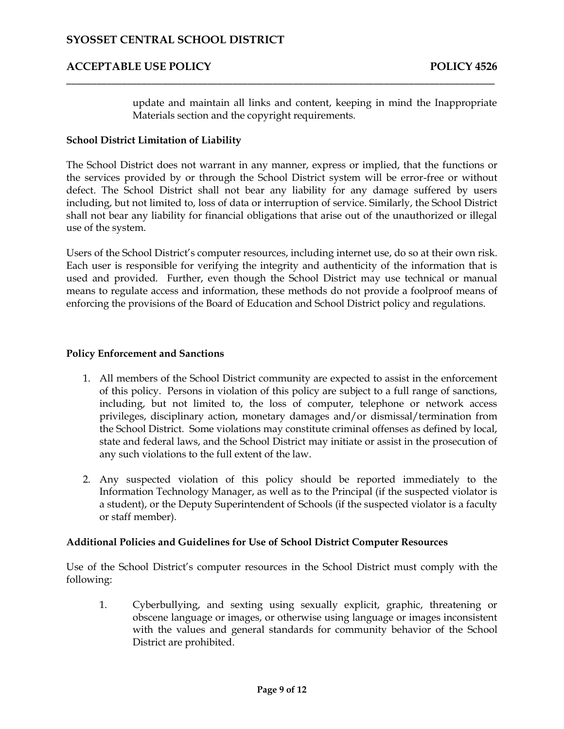update and maintain all links and content, keeping in mind the Inappropriate Materials section and the copyright requirements.

### **School District Limitation of Liability**

 the services provided by or through the School District system will be error-free or without defect. The School District shall not bear any liability for any damage suffered by users including, but not limited to, loss of data or interruption of service. Similarly, the School District shall not bear any liability for financial obligations that arise out of the unauthorized or illegal The School District does not warrant in any manner, express or implied, that the functions or use of the system.

\_\_\_\_\_\_\_\_\_\_\_\_\_\_\_\_\_\_\_\_\_\_\_\_\_\_\_\_\_\_\_\_\_\_\_\_\_\_\_\_\_\_\_\_\_\_\_\_\_\_\_\_\_\_\_\_\_\_\_\_\_\_\_\_\_\_\_\_\_\_\_\_\_\_\_\_\_\_\_\_\_\_\_\_\_

Users of the School District's computer resources, including internet use, do so at their own risk. Users of the School District's computer resources, including internet use, do so at their own risk. Each user is responsible for verifying the integrity and authenticity of the information that is used and provided. Further, even though the School District may use technical or manual means to regulate access and information, these methods do not provide a foolproof means of enforcing the provisions of the Board of Education and School District policy and regulations.

#### **Policy Enforcement and Sanctions**

- of this policy. Persons in violation of this policy are subject to a full range of sanctions, privileges, disciplinary action, monetary damages and/or dismissal/termination from the School District. Some violations may constitute criminal offenses as defined by local, state and federal laws, and the School District may initiate or assist in the prosecution of 1. All members of the School District community are expected to assist in the enforcement including, but not limited to, the loss of computer, telephone or network access any such violations to the full extent of the law.
- 2. Any suspected violation of this policy should be reported immediately to the Information Technology Manager, as well as to the Principal (if the suspected violator is a student), or the Deputy Superintendent of Schools (if the suspected violator is a faculty or staff member).

### **Additional Policies and Guidelines for Use of School District Computer Resources**

 Use of the School District's computer resources in the School District must comply with the following:

 1. Cyberbullying, and sexting using sexually explicit, graphic, threatening or obscene language or images, or otherwise using language or images inconsistent with the values and general standards for community behavior of the School District are prohibited.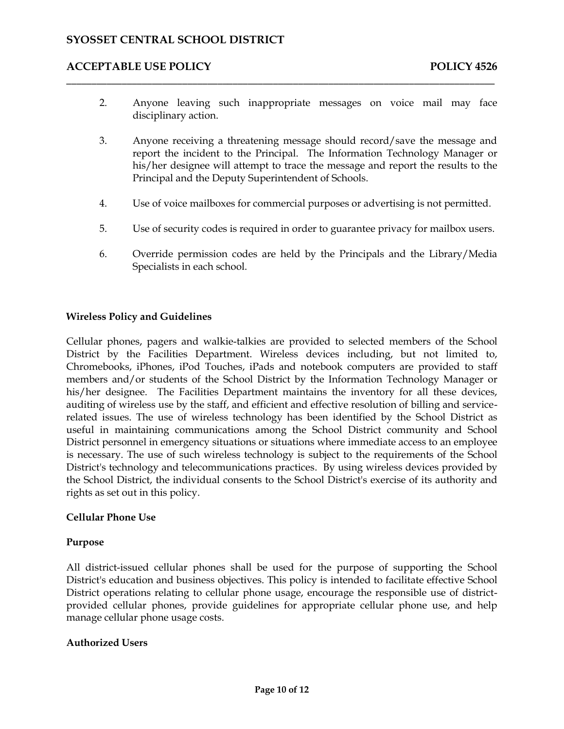2. Anyone leaving such inappropriate messages on voice mail may face disciplinary action.

\_\_\_\_\_\_\_\_\_\_\_\_\_\_\_\_\_\_\_\_\_\_\_\_\_\_\_\_\_\_\_\_\_\_\_\_\_\_\_\_\_\_\_\_\_\_\_\_\_\_\_\_\_\_\_\_\_\_\_\_\_\_\_\_\_\_\_\_\_\_\_\_\_\_\_\_\_\_\_\_\_\_\_\_\_

- report the incident to the Principal. The Information Technology Manager or his/her designee will attempt to trace the message and report the results to the 3. Anyone receiving a threatening message should record/save the message and Principal and the Deputy Superintendent of Schools.
- 4. Use of voice mailboxes for commercial purposes or advertising is not permitted.
- 5. Use of security codes is required in order to guarantee privacy for mailbox users.
- 6. Override permission codes are held by the Principals and the Library/Media Specialists in each school.

### **Wireless Policy and Guidelines**

 members and/or students of the School District by the Information Technology Manager or his/her designee. The Facilities Department maintains the inventory for all these devices, related issues. The use of wireless technology has been identified by the School District as District personnel in emergency situations or situations where immediate access to an employee is necessary. The use of such wireless technology is subject to the requirements of the School District's technology and telecommunications practices. By using wireless devices provided by Cellular phones, pagers and walkie-talkies are provided to selected members of the School District by the Facilities Department. Wireless devices including, but not limited to, Chromebooks, iPhones, iPod Touches, iPads and notebook computers are provided to staff auditing of wireless use by the staff, and efficient and effective resolution of billing and serviceuseful in maintaining communications among the School District community and School the School District, the individual consents to the School District's exercise of its authority and rights as set out in this policy.

### **Cellular Phone Use**

### **Purpose**

 All district-issued cellular phones shall be used for the purpose of supporting the School provided cellular phones, provide guidelines for appropriate cellular phone use, and help District's education and business objectives. This policy is intended to facilitate effective School District operations relating to cellular phone usage, encourage the responsible use of districtmanage cellular phone usage costs.

### **Authorized Users**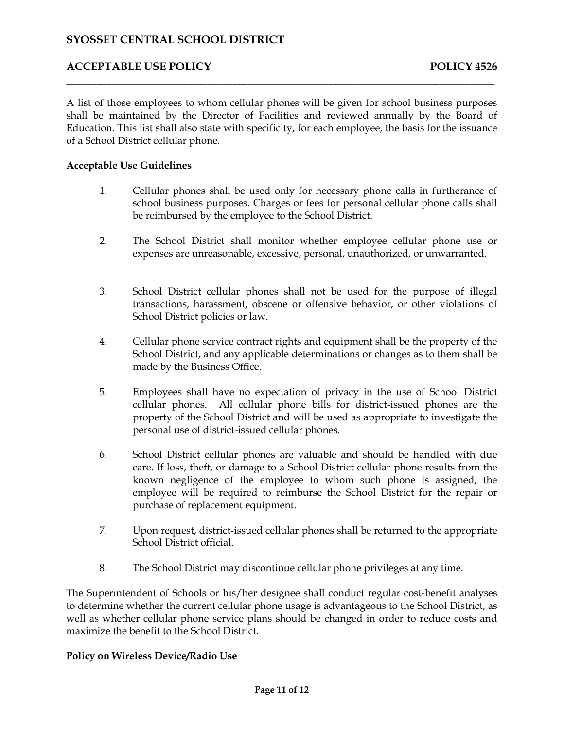## **ACCEPTABLE USE POLICY POLICY POLICY POLICY POLICY**

 A list of those employees to whom cellular phones will be given for school business purposes shall be maintained by the Director of Facilities and reviewed annually by the Board of Education. This list shall also state with specificity, for each employee, the basis for the issuance of a School District cellular phone.

\_\_\_\_\_\_\_\_\_\_\_\_\_\_\_\_\_\_\_\_\_\_\_\_\_\_\_\_\_\_\_\_\_\_\_\_\_\_\_\_\_\_\_\_\_\_\_\_\_\_\_\_\_\_\_\_\_\_\_\_\_\_\_\_\_\_\_\_\_\_\_\_\_\_\_\_\_\_\_\_\_\_\_\_\_

### **Acceptable Use Guidelines**

- 1. Cellular phones shall be used only for necessary phone calls in furtherance of school business purposes. Charges or fees for personal cellular phone calls shall be reimbursed by the employee to the School District.
- 2. The School District shall monitor whether employee cellular phone use or expenses are unreasonable, excessive, personal, unauthorized, or unwarranted.
- 3. School District cellular phones shall not be used for the purpose of illegal transactions, harassment, obscene or offensive behavior, or other violations of School District policies or law.
- School District, and any applicable determinations or changes as to them shall be 4. Cellular phone service contract rights and equipment shall be the property of the made by the Business Office.
- 5. Employees shall have no expectation of privacy in the use of School District cellular phones. All cellular phone bills for district-issued phones are the property of the School District and will be used as appropriate to investigate the personal use of district-issued cellular phones.
- 6. School District cellular phones are valuable and should be handled with due care. If loss, theft, or damage to a School District cellular phone results from the known negligence of the employee to whom such phone is assigned, the employee will be required to reimburse the School District for the repair or purchase of replacement equipment.
- 7. Upon request, district-issued cellular phones shall be returned to the appropriate School District official.
- 8. The School District may discontinue cellular phone privileges at any time.

 The Superintendent of Schools or his/her designee shall conduct regular cost-benefit analyses well as whether cellular phone service plans should be changed in order to reduce costs and to determine whether the current cellular phone usage is advantageous to the School District, as maximize the benefit to the School District.

### **Policy on Wireless Device/Radio Use**